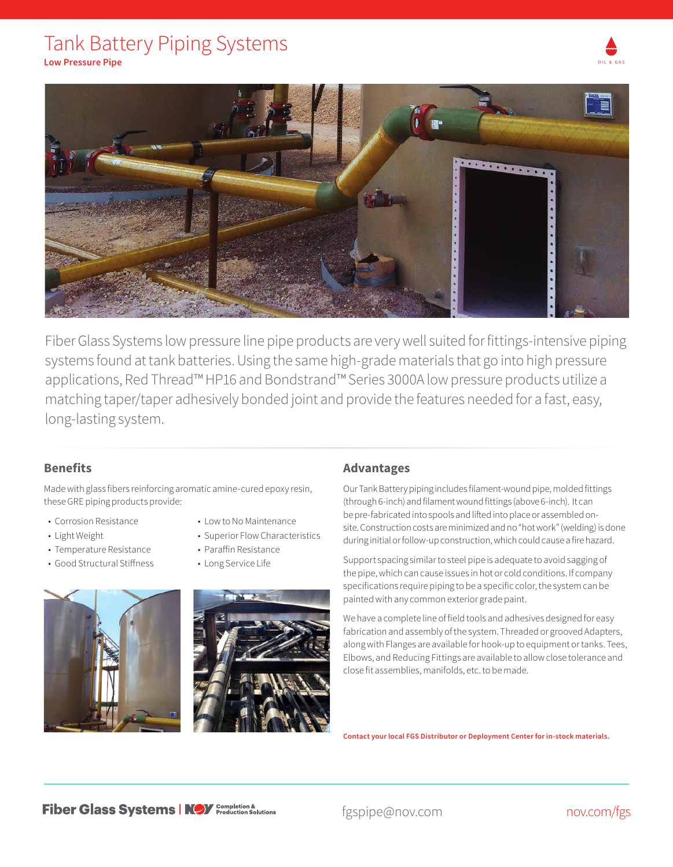## Tank Battery Piping Systems



**Low Pressure Pipe**



Fiber Glass Systems low pressure line pipe products are very well suited for fittings-intensive piping systems found at tank batteries. Using the same high-grade materials that go into high pressure applications, Red Thread™ HP16 and Bondstrand™ Series 3000A low pressure products utilize a matching taper/taper adhesively bonded joint and provide the features needed for a fast, easy, long-lasting system.

## **Benefits**

Made with glass fibers reinforcing aromatic amine-cured epoxy resin, these GRE piping products provide:

- Corrosion Resistance
- Light Weight
- Temperature Resistance
- Good Structural Stiffness
- Low to No Maintenance
- Superior Flow Characteristics
- Paraffin Resistance
- Long Service Life





## **Advantages**

Our Tank Battery piping includes filament-wound pipe, molded fittings (through 6-inch) and filament wound fittings (above 6-inch). It can be pre-fabricated into spools and lifted into place or assembled onsite. Construction costs are minimized and no "hot work" (welding) is done during initial or follow-up construction, which could cause a fire hazard.

Support spacing similar to steel pipe is adequate to avoid sagging of the pipe, which can cause issues in hot or cold conditions. If company specifications require piping to be a specific color, the system can be painted with any common exterior grade paint.

We have a complete line of field tools and adhesives designed for easy fabrication and assembly of the system. Threaded or grooved Adapters, along with Flanges are available for hook-up to equipment or tanks. Tees, Elbows, and Reducing Fittings are available to allow close tolerance and close fit assemblies, manifolds, etc. to be made.

**Contact your local FGS Distributor or Deployment Center for in-stock materials.**